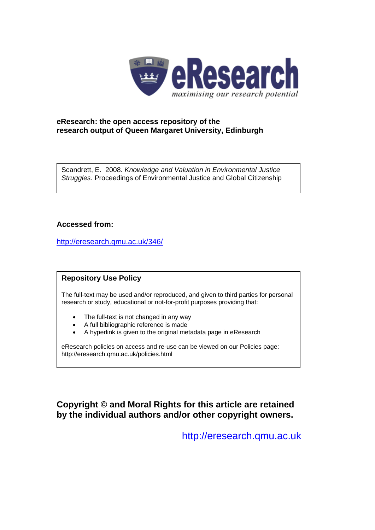

## **eResearch: the open access repository of the research output of Queen Margaret University, Edinburgh**

Scandrett , E. 2008. *Knowledge and Valuation in Environmental Justice Struggles.* Proceedings of Environmental Justice and Global Citizenship

## **Accessed from:**

<http://eresearch.qmu.ac.uk/346/>

# **Repository Use Policy**

The full-text may be used and/or reproduced, and given to third parties for personal research or study, educational or not-for-profit purposes providing that:

- The full-text is not changed in any way
- A full bibliographic reference is made
- A hyperlink is given to the original metadata page in eResearch

eResearch policies on access and re-use can be viewed on our Policies page: <http://eresearch.qmu.ac.uk/policies.html>

# **Copyright © and Moral Rights for this article are retained by the individual authors and/or other copyright owners.**

[http://eresearch.qmu.ac.uk](http://eresearch.qmu.ac.uk/)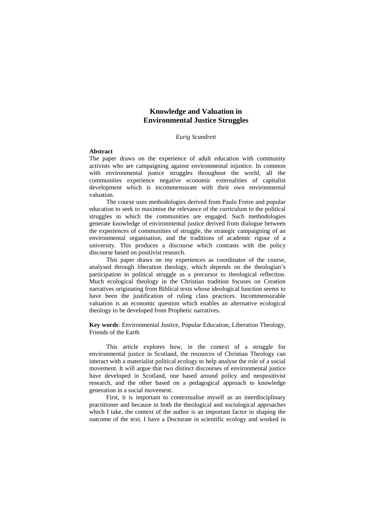*[Eurig Scandrett](mailto:escandrett@qmu.ac.uk)*

#### **Abstract**

The paper draws on the experience of adult education with community activists who are campaigning against environmental injustice. In common with environmental justice struggles throughout the world, all the communities experience negative economic externalities of capitalist development which is incommensurate with their own environmental valuation.

The course uses methodologies derived from Paulo Freire and popular education to seek to maximise the relevance of the curriculum to the political struggles in which the communities are engaged. Such methodologies generate knowledge of environmental justice derived from dialogue between the experiences of communities of struggle, the strategic campaigning of an environmental organisation, and the traditions of academic rigour of a university. This produces a discourse which contrasts with the policy discourse based on positivist research.

This paper draws on my experiences as coordinator of the course, analysed through liberation theology, which depends on the theologian's participation in political struggle as a precursor to theological reflection. Much ecological theology in the Christian tradition focuses on Creation narratives originating from Biblical texts whose ideological function seems to have been the justification of ruling class practices. Incommensurable valuation is an economic question which enables an alternative ecological theology to be developed from Prophetic narratives.

**Key words**: Environmental Justice, Popular Education, Liberation Theology, Friends of the Earth

This article explores how, in the context of a struggle for environmental justice in Scotland, the resources of Christian Theology can interact with a materialist political ecology to help analyse the role of a social movement. It will argue that two distinct discourses of environmental justice have developed in Scotland, one based around policy and neopositivist research, and the other based on a pedagogical approach to knowledge generation in a social movement.

First, it is important to contextualise myself as an interdisciplinary practitioner and because in both the theological and sociological approaches which I take, the context of the author is an important factor in shaping the outcome of the text. I have a Doctorate in scientific ecology and worked in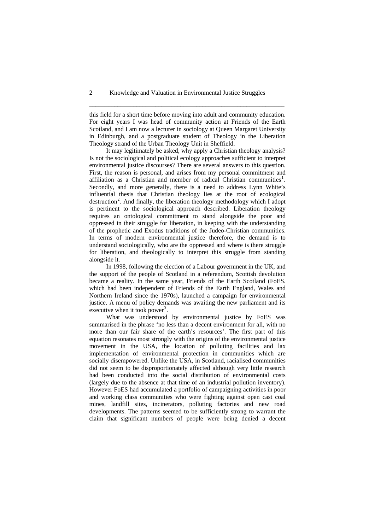this field for a short time before moving into adult and community education. For eight years I was head of community action at Friends of the Earth Scotland, and I am now a lecturer in sociology at Queen Margaret University in Edinburgh, and a postgraduate student of Theology in the Liberation Theology strand of the Urban Theology Unit in Sheffield.

\_\_\_\_\_\_\_\_\_\_\_\_\_\_\_\_\_\_\_\_\_\_\_\_\_\_\_\_\_\_\_\_\_\_\_\_\_\_\_\_\_\_\_\_\_\_\_\_\_\_\_\_\_\_\_\_\_\_\_\_\_\_

It may legitimately be asked, why apply a Christian theology analysis? Is not the sociological and political ecology approaches sufficient to interpret environmental justice discourses? There are several answers to this question. First, the reason is personal, and arises from my personal commitment and affiliation as a Christian and member of radical Christian communities<sup>[1](#page-15-0)</sup>. Secondly, and more generally, there is a need to address Lynn White's influential thesis that Christian theology lies at the root of ecological destruction<sup>[2](#page-15-1)</sup>. And finally, the liberation theology methodology which I adopt is pertinent to the sociological approach described. Liberation theology requires an ontological commitment to stand alongside the poor and oppressed in their struggle for liberation, in keeping with the understanding of the prophetic and Exodus traditions of the Judeo-Christian communities. In terms of modern environmental justice therefore, the demand is to understand sociologically, who are the oppressed and where is there struggle for liberation, and theologically to interpret this struggle from standing alongside it.

In 1998, following the election of a Labour government in the UK, and the support of the people of Scotland in a referendum, Scottish devolution became a reality. In the same year, Friends of the Earth Scotland (FoES. which had been independent of Friends of the Earth England, Wales and Northern Ireland since the 1970s), launched a campaign for environmental justice. A menu of policy demands was awaiting the new parliament and its executive when it took power<sup>[3](#page-15-1)</sup>.

What was understood by environmental justice by FoES was summarised in the phrase 'no less than a decent environment for all, with no more than our fair share of the earth's resources'. The first part of this equation resonates most strongly with the origins of the environmental justice movement in the USA, the location of polluting facilities and lax implementation of environmental protection in communities which are socially disempowered. Unlike the USA, in Scotland, racialised communities did not seem to be disproportionately affected although very little research had been conducted into the social distribution of environmental costs (largely due to the absence at that time of an industrial pollution inventory). However FoES had accumulated a portfolio of campaigning activities in poor and working class communities who were fighting against open cast coal mines, landfill sites, incinerators, polluting factories and new road developments. The patterns seemed to be sufficiently strong to warrant the claim that significant numbers of people were being denied a decent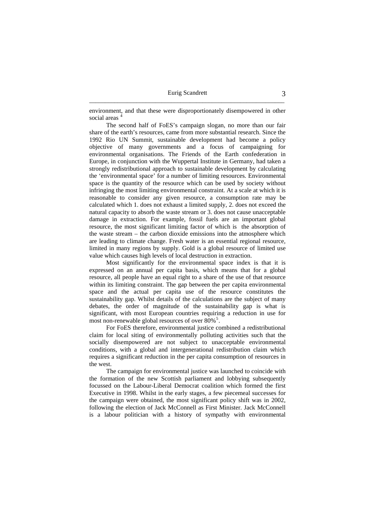Eurig Scandrett \_\_\_\_\_\_\_\_\_\_\_\_\_\_\_\_\_\_\_\_\_\_\_\_\_\_\_\_\_\_\_\_\_\_\_\_\_\_\_\_\_\_\_\_\_\_\_\_\_\_\_\_\_\_\_\_\_\_\_\_\_\_3

environment, and that these were disproportionately disempowered in other social areas  $\overline{a}$ 

The second half of FoES's campaign slogan, no more than our fair share of the earth's resources, came from more substantial research. Since the 1992 Rio UN Summit, sustainable development had become a policy objective of many governments and a focus of campaigning for environmental organisations. The Friends of the Earth confederation in Europe, in conjunction with the Wuppertal Institute in Germany, had taken a strongly redistributional approach to sustainable development by calculating the 'environmental space' for a number of limiting resources. Environmental space is the quantity of the resource which can be used by society without infringing the most limiting environmental constraint. At a scale at which it is reasonable to consider any given resource, a consumption rate may be calculated which 1. does not exhaust a limited supply, 2. does not exceed the natural capacity to absorb the waste stream or 3. does not cause unacceptable damage in extraction. For example, fossil fuels are an important global resource, the most significant limiting factor of which is the absorption of the waste stream – the carbon dioxide emissions into the atmosphere which are leading to climate change. Fresh water is an essential regional resource, limited in many regions by supply. Gold is a global resource of limited use value which causes high levels of local destruction in extraction.

Most significantly for the environmental space index is that it is expressed on an annual per capita basis, which means that for a global resource, all people have an equal right to a share of the use of that resource within its limiting constraint. The gap between the per capita environmental space and the actual per capita use of the resource constitutes the sustainability gap. Whilst details of the calculations are the subject of many debates, the order of magnitude of the sustainability gap is what is significant, with most European countries requiring a reduction in use for most non-renewable global resources of over  $80\%$ <sup>[5](#page-15-1)</sup>.

For FoES therefore, environmental justice combined a redistributional claim for local siting of environmentally polluting activities such that the socially disempowered are not subject to unacceptable environmental conditions, with a global and intergenerational redistribution claim which requires a significant reduction in the per capita consumption of resources in the west.

The campaign for environmental justice was launched to coincide with the formation of the new Scottish parliament and lobbying subsequently focussed on the Labour-Liberal Democrat coalition which formed the first Executive in 1998. Whilst in the early stages, a few piecemeal successes for the campaign were obtained, the most significant policy shift was in 2002, following the election of Jack McConnell as First Minister. Jack McConnell is a labour politician with a history of sympathy with environmental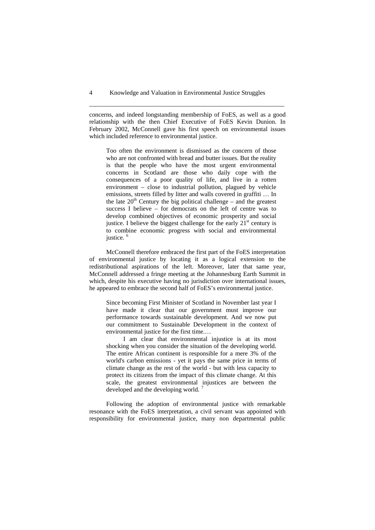concerns, and indeed longstanding membership of FoES, as well as a good relationship with the then Chief Executive of FoES Kevin Dunion. In February 2002, McConnell gave his first speech on environmental issues which included reference to environmental justice.

\_\_\_\_\_\_\_\_\_\_\_\_\_\_\_\_\_\_\_\_\_\_\_\_\_\_\_\_\_\_\_\_\_\_\_\_\_\_\_\_\_\_\_\_\_\_\_\_\_\_\_\_\_\_\_\_\_\_\_\_\_\_

Too often the environment is dismissed as the concern of those who are not confronted with bread and butter issues. But the reality is that the people who have the most urgent environmental concerns in Scotland are those who daily cope with the consequences of a poor quality of life, and live in a rotten environment – close to industrial pollution, plagued by vehicle emissions, streets filled by litter and walls covered in graffiti … In the late  $20<sup>th</sup>$  Century the big political challenge – and the greatest success I believe – for democrats on the left of centre was to develop combined objectives of economic prosperity and social justice. I believe the biggest challenge for the early  $21<sup>st</sup>$  century is to combine economic progress with social and environmental justice.<sup>[6](#page-15-1)</sup>

McConnell therefore embraced the first part of the FoES interpretation of environmental justice by locating it as a logical extension to the redistributional aspirations of the left. Moreover, later that same year, McConnell addressed a fringe meeting at the Johannesburg Earth Summit in which, despite his executive having no jurisdiction over international issues, he appeared to embrace the second half of FoES's environmental justice.

Since becoming First Minister of Scotland in November last year I have made it clear that our government must improve our performance towards sustainable development. And we now put our commitment to Sustainable Development in the context of environmental justice for the first time....

I am clear that environmental injustice is at its most shocking when you consider the situation of the developing world. The entire African continent is responsible for a mere 3% of the world's carbon emissions - yet it pays the same price in terms of climate change as the rest of the world - but with less capacity to protect its citizens from the impact of this climate change. At this scale, the greatest environmental injustices are between the developed and the developing world.

Following the adoption of environmental justice with remarkable resonance with the FoES interpretation, a civil servant was appointed with responsibility for environmental justice, many non departmental public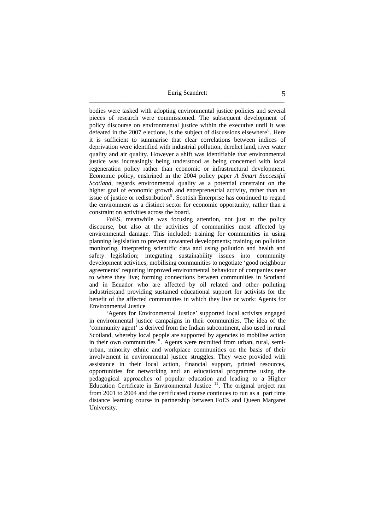Eurig Scandrett Eurig Scandrett 5

bodies were tasked with adopting environmental justice policies and several pieces of research were commissioned. The subsequent development of policy discourse on environmental justice within the executive until it was defeated in the  $2007$  elections, is the subject of discussions elsewhere<sup>[8](#page-15-1)</sup>. Here it is sufficient to summarise that clear correlations between indices of deprivation were identified with industrial pollution, derelict land, river water quality and air quality. However a shift was identifiable that environmental justice was increasingly being understood as being concerned with local regeneration policy rather than economic or infrastructural development. Economic policy, enshrined in the 2004 policy paper *A Smart Successful Scotland*, regards environmental quality as a potential constraint on the higher goal of economic growth and entrepreneurial activity, rather than an issue of justice or redistribution<sup>[9](#page-15-1)</sup>. Scottish Enterprise has continued to regard the environment as a distinct sector for economic opportunity, rather than a constraint on activities across the board.

FoES, meanwhile was focusing attention, not just at the policy discourse, but also at the activities of communities most affected by environmental damage. This included: training for communities in using planning legislation to prevent unwanted developments; training on pollution monitoring, interpreting scientific data and using pollution and health and safety legislation; integrating sustainability issues into community development activities; mobilising communities to negotiate 'good neighbour agreements' requiring improved environmental behaviour of companies near to where they live; forming connections between communities in Scotland and in Ecuador who are affected by oil related and other polluting industries;and providing sustained educational support for activists for the benefit of the affected communities in which they live or work: Agents for Environmental Justice

'Agents for Environmental Justice' supported local activists engaged in environmental justice campaigns in their communities. The idea of the 'community agent' is derived from the Indian subcontinent, also used in rural Scotland, whereby local people are supported by agencies to mobilise action in their own communities<sup>[10](#page-15-1)</sup>. Agents were recruited from urban, rural, semiurban, minority ethnic and workplace communities on the basis of their involvement in environmental justice struggles. They were provided with assistance in their local action, financial support, printed resources, opportunities for networking and an educational programme using the pedagogical approaches of popular education and leading to a Higher Education Certificate in Environmental Justice  $11$ . The original project ran from 2001 to 2004 and the certificated course continues to run as a part time distance learning course in partnership between FoES and Queen Margaret University.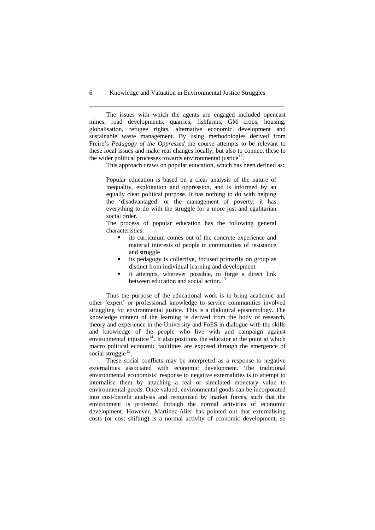The issues with which the agents are engaged included opencast mines, road developments, quarries, fishfarms, GM crops, housing, globalisation, refugee rights, alternative economic development and sustainable waste management. By using methodologies derived from Freire's *Pedagogy of the Oppressed* the course attempts to be relevant to these local issues and make real changes locally, but also to connect these to the wider political processes towards environmental justice $12$ .

\_\_\_\_\_\_\_\_\_\_\_\_\_\_\_\_\_\_\_\_\_\_\_\_\_\_\_\_\_\_\_\_\_\_\_\_\_\_\_\_\_\_\_\_\_\_\_\_\_\_\_\_\_\_\_\_\_\_\_\_\_\_

This approach draws on popular education, which has been defined as:

Popular education is based on a clear analysis of the nature of inequality, exploitation and oppression, and is informed by an equally clear political purpose. It has nothing to do with helping the 'disadvantaged' or the management of poverty; it has everything to do with the struggle for a more just and egalitarian social order.

The process of popular education has the following general characteristics:

- its curriculum comes out of the concrete experience and material interests of people in communities of resistance and struggle
- its pedagogy is collective, focused primarily on group as distinct from individual learning and development
- it attempts, wherever possible, to forge a direct link between education and social action.<sup>[13](#page-15-1)</sup>

Thus the purpose of the educational work is to bring academic and other 'expert' or professional knowledge to service communities involved struggling for environmental justice. This is a dialogical epistemology. The knowledge content of the learning is derived from the body of research, theory and experience in the University and FoES in dialogue with the skills and knowledge of the people who live with and campaign against environmental injustice<sup>[14](#page-15-1)</sup>. It also positions the educator at the point at which macro political economic faultlines are exposed through the emergence of social struggle $^{15}$  $^{15}$  $^{15}$ .

These social conflicts may be interpreted as a response to negative externalities associated with economic development. The traditional environmental economists' response to negative externalities is to attempt to internalise them by attaching a real or simulated monetary value to environmental goods. Once valued, environmental goods can be incorporated into cost-benefit analysis and recognised by market forces, such that the environment is protected through the normal activities of economic development. However, Martinez-Alier has pointed out that externalising costs (or cost shifting) is a normal activity of economic development, so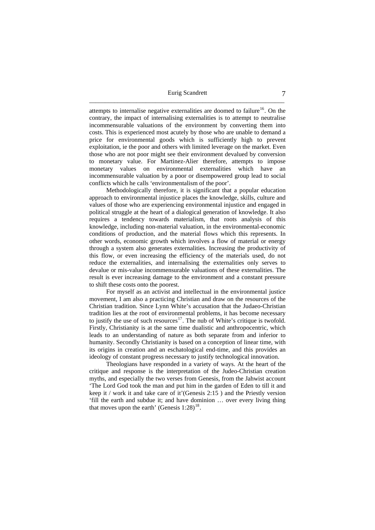Eurig Scandrett \_\_\_\_\_\_\_\_\_\_\_\_\_\_\_\_\_\_\_\_\_\_\_\_\_\_\_\_\_\_\_\_\_\_\_\_\_\_\_\_\_\_\_\_\_\_\_\_\_\_\_\_\_\_\_\_\_\_\_\_\_\_7

attempts to internalise negative externalities are doomed to failure<sup>[16](#page-15-1)</sup>. On the contrary, the impact of internalising externalities is to attempt to neutralise incommensurable valuations of the environment by converting them into costs. This is experienced most acutely by those who are unable to demand a price for environmental goods which is sufficiently high to prevent exploitation, ie the poor and others with limited leverage on the market. Even those who are not poor might see their environment devalued by conversion to monetary value. For Martinez-Alier therefore, attempts to impose monetary values on environmental externalities which have an incommensurable valuation by a poor or disempowered group lead to social conflicts which he calls 'environmentalism of the poor'.

Methodologically therefore, it is significant that a popular education approach to environmental injustice places the knowledge, skills, culture and values of those who are experiencing environmental injustice and engaged in political struggle at the heart of a dialogical generation of knowledge. It also requires a tendency towards materialism, that roots analysis of this knowledge, including non-material valuation, in the environmental-economic conditions of production, and the material flows which this represents. In other words, economic growth which involves a flow of material or energy through a system also generates externalities. Increasing the productivity of this flow, or even increasing the efficiency of the materials used, do not reduce the externalities, and internalising the externalities only serves to devalue or mis-value incommensurable valuations of these externalities. The result is ever increasing damage to the environment and a constant pressure to shift these costs onto the poorest.

For myself as an activist and intellectual in the environmental justice movement, I am also a practicing Christian and draw on the resources of the Christian tradition. Since Lynn White's accusation that the Judaeo-Christian tradition lies at the root of environmental problems, it has become necessary to justify the use of such resources<sup>[17](#page-15-1)</sup>. The nub of White's critique is twofold. Firstly, Christianity is at the same time dualistic and anthropocentric, which leads to an understanding of nature as both separate from and inferior to humanity. Secondly Christianity is based on a conception of linear time, with its origins in creation and an eschatological end-time, and this provides an ideology of constant progress necessary to justify technological innovation.

Theologians have responded in a variety of ways. At the heart of the critique and response is the interpretation of the Judeo-Christian creation myths, and especially the two verses from Genesis, from the Jahwist account 'The Lord God took the man and put him in the garden of Eden to till it and keep it / work it and take care of it'(Genesis 2:15 ) and the Priestly version 'fill the earth and subdue it; and have dominion … over every living thing that moves upon the earth' (Genesis  $1:28$ )<sup>[18](#page-15-1)</sup>.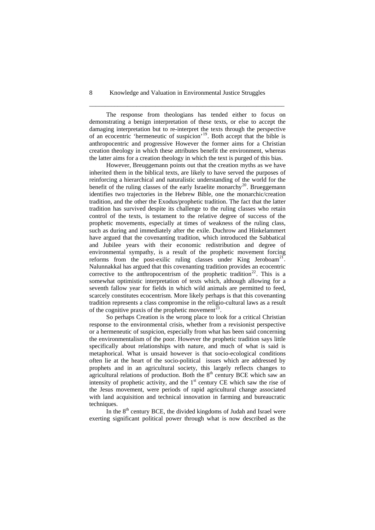The response from theologians has tended either to focus on demonstrating a benign interpretation of these texts, or else to accept the damaging interpretation but to re-interpret the texts through the perspective of an ecocentric 'hermeneutic of suspicion'[19](#page-15-1). Both accept that the bible is anthropocentric and progressive However the former aims for a Christian creation theology in which these attributes benefit the environment, whereas the latter aims for a creation theology in which the text is purged of this bias.

\_\_\_\_\_\_\_\_\_\_\_\_\_\_\_\_\_\_\_\_\_\_\_\_\_\_\_\_\_\_\_\_\_\_\_\_\_\_\_\_\_\_\_\_\_\_\_\_\_\_\_\_\_\_\_\_\_\_\_\_\_\_

However, Breuggemann points out that the creation myths as we have inherited them in the biblical texts, are likely to have served the purposes of reinforcing a hierarchical and naturalistic understanding of the world for the benefit of the ruling classes of the early Israelite monarchy<sup>[20](#page-15-1)</sup>. Brueggemann identifies two trajectories in the Hebrew Bible, one the monarchic/creation tradition, and the other the Exodus/prophetic tradition. The fact that the latter tradition has survived despite its challenge to the ruling classes who retain control of the texts, is testament to the relative degree of success of the prophetic movements, especially at times of weakness of the ruling class, such as during and immediately after the exile. Duchrow and Hinkelammert have argued that the covenanting tradition, which introduced the Sabbatical and Jubilee years with their economic redistribution and degree of environmental sympathy, is a result of the prophetic movement forcing reforms from the post-exilic ruling classes under King Jeroboam<sup>[21](#page-15-1)</sup>. Nalunnakkal has argued that this covenanting tradition provides an ecocentric corrective to the anthropocentrism of the prophetic tradition<sup>[22](#page-15-1)</sup>. This is a somewhat optimistic interpretation of texts which, although allowing for a seventh fallow year for fields in which wild animals are permitted to feed, scarcely constitutes ecocentrism. More likely perhaps is that this covenanting tradition represents a class compromise in the religio-cultural laws as a result of the cognitive praxis of the prophetic movement<sup>[23](#page-15-1)</sup>.

So perhaps Creation is the wrong place to look for a critical Christian response to the environmental crisis, whether from a revisionist perspective or a hermeneutic of suspicion, especially from what has been said concerning the environmentalism of the poor. However the prophetic tradition says little specifically about relationships with nature, and much of what is said is metaphorical. What is unsaid however is that socio-ecological conditions often lie at the heart of the socio-political issues which are addressed by prophets and in an agricultural society, this largely reflects changes to agricultural relations of production. Both the  $8<sup>th</sup>$  century BCE which saw an intensity of prophetic activity, and the  $1<sup>st</sup>$  century CE which saw the rise of the Jesus movement, were periods of rapid agricultural change associated with land acquisition and technical innovation in farming and bureaucratic techniques.

In the  $8<sup>th</sup>$  century BCE, the divided kingdoms of Judah and Israel were exerting significant political power through what is now described as the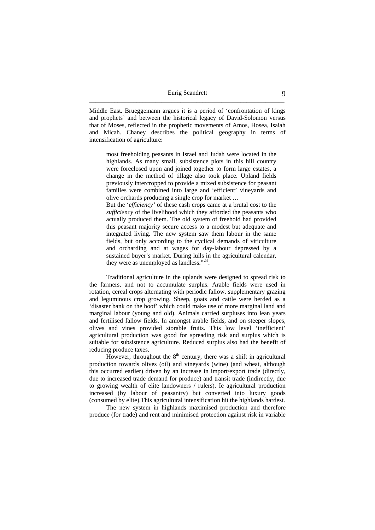Middle East. Brueggemann argues it is a period of 'confrontation of kings and prophets' and between the historical legacy of David-Solomon versus that of Moses, reflected in the prophetic movements of Amos, Hosea, Isaiah and Micah. Chaney describes the political geography in terms of intensification of agriculture:

most freeholding peasants in Israel and Judah were located in the highlands. As many small, subsistence plots in this hill country were foreclosed upon and joined together to form large estates, a change in the method of tillage also took place. Upland fields previously intercropped to provide a mixed subsistence for peasant families were combined into large and 'efficient' vineyards and olive orchards producing a single crop for market … But the '*efficiency'* of these cash crops came at a brutal cost to the *sufficiency* of the livelihood which they afforded the peasants who

actually produced them. The old system of freehold had provided this peasant majority secure access to a modest but adequate and integrated living. The new system saw them labour in the same fields, but only according to the cyclical demands of viticulture and orcharding and at wages for day-labour depressed by a sustained buyer's market. During lulls in the agricultural calendar, they were as unemployed as landless."<sup>[24](#page-15-1)</sup>.

Traditional agriculture in the uplands were designed to spread risk to the farmers, and not to accumulate surplus. Arable fields were used in rotation, cereal crops alternating with periodic fallow, supplementary grazing and leguminous crop growing. Sheep, goats and cattle were herded as a 'disaster bank on the hoof' which could make use of more marginal land and marginal labour (young and old). Animals carried surpluses into lean years and fertilised fallow fields. In amongst arable fields, and on steeper slopes, olives and vines provided storable fruits. This low level 'inefficient' agricultural production was good for spreading risk and surplus which is suitable for subsistence agriculture. Reduced surplus also had the benefit of reducing produce taxes.

However, throughout the  $8<sup>th</sup>$  century, there was a shift in agricultural production towards olives (oil) and vineyards (wine) (and wheat, although this occurred earlier) driven by an increase in import/export trade (directly, due to increased trade demand for produce) and transit trade (indirectly, due to growing wealth of elite landowners / rulers). Ie agricultural production increased (by labour of peasantry) but converted into luxury goods (consumed by elite).This agricultural intensification hit the highlands hardest.

The new system in highlands maximised production and therefore produce (for trade) and rent and minimised protection against risk in variable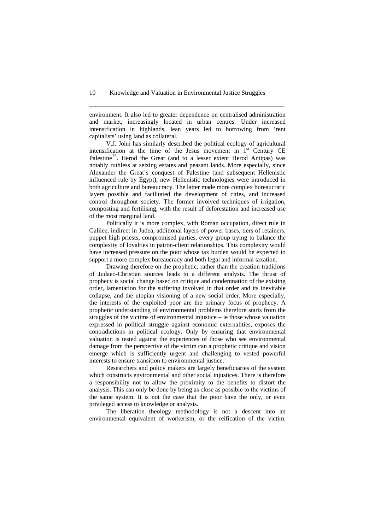environment. It also led to greater dependence on centralised administration and market, increasingly located in urban centres. Under increased intensification in highlands, lean years led to borrowing from 'rent capitalists' using land as collateral.

\_\_\_\_\_\_\_\_\_\_\_\_\_\_\_\_\_\_\_\_\_\_\_\_\_\_\_\_\_\_\_\_\_\_\_\_\_\_\_\_\_\_\_\_\_\_\_\_\_\_\_\_\_\_\_\_\_\_\_\_\_\_

V.J. John has similarly described the political ecology of agricultural intensification at the time of the Jesus movement in  $1<sup>st</sup>$  Century CE Palestine<sup>[25](#page-15-1)</sup>. Herod the Great (and to a lesser extent Herod Antipas) was notably ruthless at seizing estates and peasant lands. More especially, since Alexander the Great's conquest of Palestine (and subsequent Hellenistic influenced rule by Egypt), new Hellenistic technologies were introduced in both agriculture and bureaucracy. The latter made more complex bureaucratic layers possible and facilitated the development of cities, and increased control throughout society. The former involved techniques of irrigation, composting and fertilising, with the result of deforestation and increased use of the most marginal land.

Politically it is more complex, with Roman occupation, direct rule in Galilee, indirect in Judea, additional layers of power bases, tiers of retainers, puppet high priests, compromised parties, every group trying to balance the complexity of loyalties in patron-client relationships. This complexity would have increased pressure on the poor whose tax burden would be expected to support a more complex bureaucracy and both legal and informal taxation.

Drawing therefore on the prophetic, rather than the creation traditions of Judaeo-Christian sources leads to a different analysis. The thrust of prophecy is social change based on critique and condemnation of the existing order, lamentation for the suffering involved in that order and its inevitable collapse, and the utopian visioning of a new social order. More especially, the interests of the exploited poor are the primary focus of prophecy. A prophetic understanding of environmental problems therefore starts from the struggles of the victims of environmental injustice – ie those whose valuation expressed in political struggle against economic externalities, exposes the contradictions in political ecology. Only by ensuring that environmental valuation is tested against the experiences of those who see environmental damage from the perspective of the victim can a prophetic critique and vision emerge which is sufficiently urgent and challenging to vested powerful interests to ensure transition to environmental justice.

Researchers and policy makers are largely beneficiaries of the system which constructs environmental and other social injustices. There is therefore a responsibility not to allow the proximity to the benefits to distort the analysis. This can only be done by being as close as possible to the victims of the same system. It is not the case that the poor have the only, or even privileged access to knowledge or analysis.

The liberation theology methodology is not a descent into an environmental equivalent of workerism, or the reification of the victim.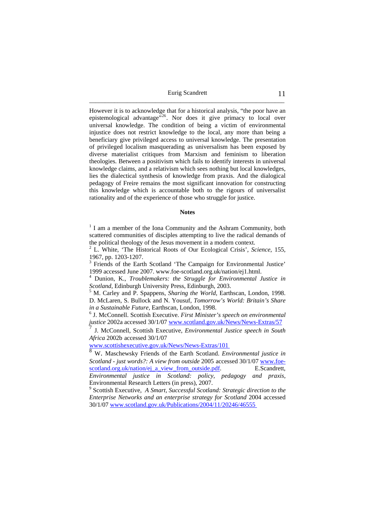Eurig Scandrett Eurig Scandrett 11

However it is to acknowledge that for a historical analysis, "the poor have an epistemological advantage<sup> $526$  $526$ </sup>. Nor does it give primacy to local over universal knowledge. The condition of being a victim of environmental injustice does not restrict knowledge to the local, any more than being a beneficiary give privileged access to universal knowledge. The presentation of privileged localism masquerading as universalism has been exposed by diverse materialist critiques from Marxism and feminism to liberation theologies. Between a positivism which fails to identify interests in universal knowledge claims, and a relativism which sees nothing but local knowledges, lies the dialectical synthesis of knowledge from praxis. And the dialogical pedagogy of Freire remains the most significant innovation for constructing this knowledge which is accountable both to the rigours of universalist rationality and of the experience of those who struggle for justice.

#### **Notes**

<sup>1</sup> I am a member of the Iona Community and the Ashram Community, both scattered communities of disciples attempting to live the radical demands of the political theology of the Jesus movement in a modern context.

2 L. White, 'The Historical Roots of Our Ecological Crisis', *Science*, 155, 1967, pp. 1203-1207.

<sup>3</sup> Friends of the Earth Scotland 'The Campaign for Environmental Justice' 1999 accessed June 2007. www.foe-scotland.org.uk/nation/ej1.html. 4

 Dunion, K., *Troublemakers: the Struggle for Environmental Justice in Scotland*, Edinburgh University Press, Edinburgh, 2003.

<sup>5</sup> M. Carley and P. Spappens, *Sharing the World*, Earthscan, London, 1998. D. McLaren, S. Bullock and N. Yousuf, *Tomorrow's World: Britain's Share in a Sustainable Future, Earthscan, London, 1998.* 

 J. McConnell. Scottish Executive. *First Minister's speech on environmental justice* 2002a accessed 30/1/07 [www.scotland.gov.uk/News/News-Extras/57](http://www.scotland.gov.uk/News/News-Extras/57) 7 J. McConnell, Scottish Executive, *Environmental Justice speech in South* 

*Africa* 2002b accessed 30/1/07

W. Maschewsky Friends of the Earth Scotland. *Environmental justice in Scotland - just words?: A view from outside* 2005 accessed 30/1/07 [www.foe](http://www.foe-scotland.org.uk/nation/ej_a_view_from_outside.pdf)[scotland.org.uk/nation/ej\\_a\\_view\\_from\\_outside.pdf](http://www.foe-scotland.org.uk/nation/ej_a_view_from_outside.pdf). E.Scandrett, *Environmental justice in Scotland: policy, pedagogy and praxis,*  Environmental Research Letters (in press), 2007.

9 Scottish Executive, *A Smart, Successful Scotland: Strategic direction to the Enterprise Networks and an enterprise strategy for Scotland* 2004 accessed 30/1/07 [www.scotland.gov.uk/Publications/2004/11/20246/46555](http://www.scotland.gov.uk/Publications/2004/11/20246/46555%20accessed%2030/1/07)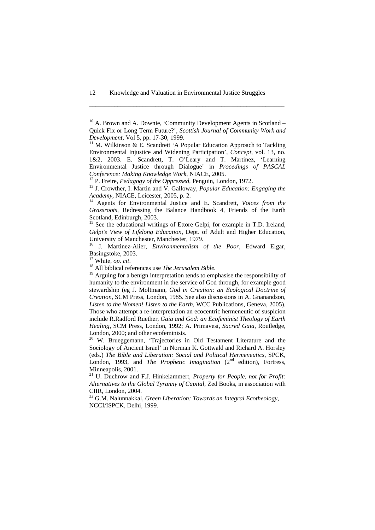\_\_\_\_\_\_\_\_\_\_\_\_\_\_\_\_\_\_\_\_\_\_\_\_\_\_\_\_\_\_\_\_\_\_\_\_\_\_\_\_\_\_\_\_\_\_\_\_\_\_\_\_\_\_\_\_\_\_\_\_\_\_

<sup>18</sup> All biblical references use *The Jerusalem Bible*.

 $10$  A. Brown and A. Downie, 'Community Development Agents in Scotland – Quick Fix or Long Term Future?', *Scottish Journal of Community Work and Development*, Vol 5, pp. 17-30, 1999.<br><sup>11</sup> M. Wilkinson & E. Scandrett 'A Popular Education Approach to Tackling

Environmental Injustice and Widening Participation', *Concept*, vol. 13, no. 1&2, 2003. E. Scandrett, T. O'Leary and T. Martinez, 'Learning Environmental Justice through Dialogue' in *Procedings of PASCAL* 

<sup>&</sup>lt;sup>12</sup> P. Freire, *Pedagogy of the Oppressed*, Penguin, London, 1972.<br><sup>13</sup> J. Crowther, I. Martin and V. Galloway, *Popular Education: Engaging the Academy*, NIACE, Leicester, 2005, p. 2.

<sup>&</sup>lt;sup>14</sup> Agents for Environmental Justice and E. Scandrett, *Voices from the Grassroots*, Redressing the Balance Handbook 4, Friends of the Earth Scotland, Edinburgh, 2003.

<sup>&</sup>lt;sup>15</sup> See the educational writings of Ettore Gelpi, for example in T.D. Ireland, *Gelpi's View of Lifelong Education*, Dept. of Adult and Higher Education, University of Manchester, Manchester, 1979.

<sup>16</sup> J. Martinez-Alier, *Environmentalism of the Poor*, Edward Elgar, Basingstoke, 2003.<br><sup>17</sup> White, *op. cit.* 

<sup>&</sup>lt;sup>19</sup> Arguing for a benign interpretation tends to emphasise the responsibility of humanity to the environment in the service of God through, for example good stewardship (eg J. Moltmann, *God in Creation: an Ecological Doctrine of Creation,* SCM Press, London, 1985. See also discussions in A. Gnanandson, *Listen to the Women! Listen to the Earth,* WCC Publications, Geneva, 2005). Those who attempt a re-interpretation an ecocentric hermeneutic of suspicion include R.Radford Ruether, *Gaia and God: an Ecofeminist Theology of Earth Healing,* SCM Press, London, 1992; A. Primavesi, *Sacred Gaia,* Routledge, London, 2000; and other ecofeminists.

 $20$  W. Brueggemann, 'Trajectories in Old Testament Literature and the Sociology of Ancient Israel' in Norman K. Gottwald and Richard A. Horsley (eds.) *The Bible and Liberation: Social and Political Hermeneutics,* SPCK, London, 1993, and *The Prophetic Imagination* (2<sup>nd</sup> edition), Fortress, Minneapolis, 2001.

<sup>21</sup> U. Duchrow and F.J. Hinkelammert, *Property for People, not for Profit: Alternatives to the Global Tyranny of Capital*, Zed Books, in association with CIIR, London, 2004.

<sup>22</sup> G.M. Nalunnakkal, *Green Liberation: Towards an Integral Ecotheology*, NCCI/ISPCK, Delhi, 1999.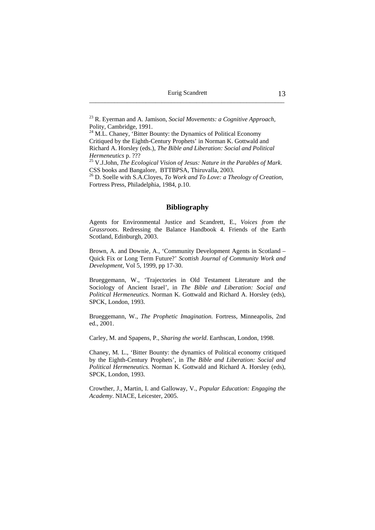<sup>24</sup> M.L. Chaney, 'Bitter Bounty: the Dynamics of Political Economy Critiqued by the Eighth-Century Prophets' in Norman K. Gottwald and Richard A. Horsley (eds.), *The Bible and Liberation: Social and Political Hermeneutics* p. ???<br><sup>25</sup> V.J.John, *The Ecological Vision of Jesus: Nature in the Parables of Mark.* 

CSS books and Bangalore, BTTBPSA, Thiruvalla, 2003.

26 D. Soelle with S.A.Cloyes, *To Work and To Love: a Theology of Creation*, Fortress Press, Philadelphia, 1984, p.10.

## **Bibliography**

Agents for Environmental Justice and Scandrett, E., *Voices from the Grassroots*. Redressing the Balance Handbook 4. Friends of the Earth Scotland, Edinburgh, 2003.

Brown, A. and Downie, A., 'Community Development Agents in Scotland – Quick Fix or Long Term Future?' *Scottish Journal of Community Work and Development,* Vol 5, 1999, pp 17-30.

Brueggemann, W., 'Trajectories in Old Testament Literature and the Sociology of Ancient Israel', in *The Bible and Liberation: Social and Political Hermeneutics.* Norman K. Gottwald and Richard A. Horsley (eds), SPCK, London, 1993.

Brueggemann, W., *The Prophetic Imagination.* Fortress, Minneapolis, 2nd ed., 2001.

Carley, M. and Spapens, P., *Sharing the world*. Earthscan, London, 1998.

Chaney, M. L., 'Bitter Bounty: the dynamics of Political economy critiqued by the Eighth-Century Prophets', in *The Bible and Liberation: Social and Political Hermeneutics.* Norman K. Gottwald and Richard A. Horsley (eds), SPCK, London, 1993.

Crowther, J., Martin, I. and Galloway, V., *Popular Education: Engaging the Academy*. NIACE, Leicester, 2005.

<sup>23</sup> R. Eyerman and A. Jamison, *Social Movements: a Cognitive Approach,* Polity, Cambridge, 1991.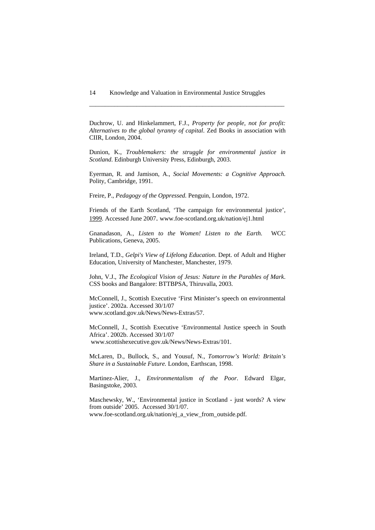Duchrow, U. and Hinkelammert, F.J., *Property for people, not for profit: Alternatives to the global tyranny of capital*. Zed Books in association with CIIR, London, 2004.

\_\_\_\_\_\_\_\_\_\_\_\_\_\_\_\_\_\_\_\_\_\_\_\_\_\_\_\_\_\_\_\_\_\_\_\_\_\_\_\_\_\_\_\_\_\_\_\_\_\_\_\_\_\_\_\_\_\_\_\_\_\_

Dunion, K., *Troublemakers: the struggle for environmental justice in Scotland*. Edinburgh University Press, Edinburgh, 2003.

Eyerman, R. and Jamison, A., *Social Movements: a Cognitive Approach.* Polity, Cambridge, 1991.

Freire, P., *Pedagogy of the Oppressed.* Penguin, London, 1972.

Friends of the Earth Scotland, 'The campaign for environmental justice', [1999.](http://0.0.7.207/) Accessed June 2007. www.foe-scotland.org.uk/nation/ej1.html

Gnanadason, A., *Listen to the Women! Listen to the Earth.* WCC Publications, Geneva, 2005.

Ireland, T.D., *Gelpi's View of Lifelong Education*. Dept. of Adult and Higher Education, University of Manchester, Manchester, 1979.

John, V.J., *The Ecological Vision of Jesus: Nature in the Parables of Mark*. CSS books and Bangalore: BTTBPSA, Thiruvalla, 2003.

McConnell, J., Scottish Executive 'First Minister's speech on environmental justice'. 2002a. Accessed 30/1/07 [www.scotland.gov.uk/News/News-Extras/57.](http://www.scotland.gov.uk/News/News-Extras/57)

McConnell, J., Scottish Executive 'Environmental Justice speech in South Africa'. 2002b. Accessed 30/1/07 www.scottishexecutive.gov.uk/News/News-Extras/101.

McLaren, D., Bullock, S., and Yousuf, N., *Tomorrow's World: Britain's Share in a Sustainable Future.* London, Earthscan, 1998.

Martinez-Alier, J., *Environmentalism of the Poor*. Edward Elgar, Basingstoke, 2003.

Maschewsky, W., 'Environmental justice in Scotland - just words? A view from outside' 2005. Accessed 30/1/07. [www.foe-scotland.org.uk/nation/ej\\_a\\_view\\_from\\_outside.pdf.](http://www.foe-scotland.org.uk/nation/ej_a_view_from_outside.pdf)